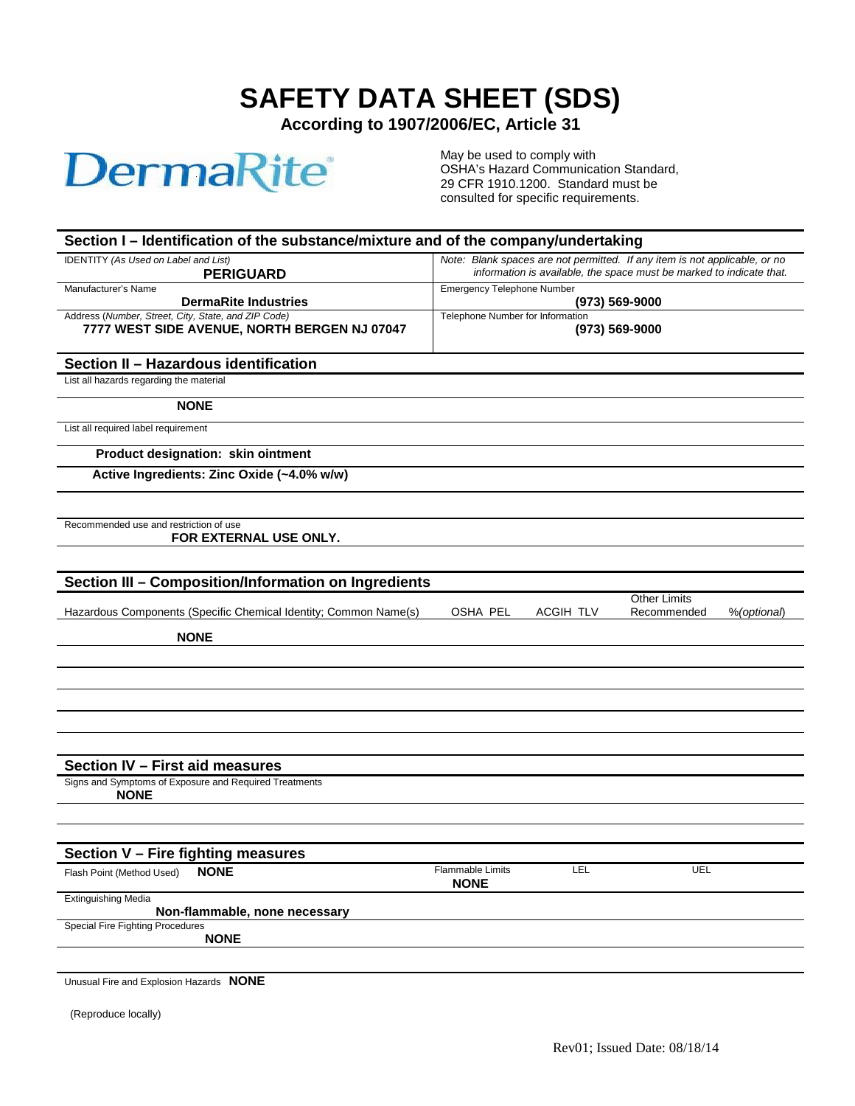## **SAFETY DATA SHEET (SDS)**

**According to 1907/2006/EC, Article 31**

## **DermaRite®**

May be used to comply with OSHA's Hazard Communication Standard, 29 CFR 1910.1200. Standard must be consulted for specific requirements.

| Section I – Identification of the substance/mixture and of the company/undertaking                  |                                                                                                                                                    |           |                                    |             |
|-----------------------------------------------------------------------------------------------------|----------------------------------------------------------------------------------------------------------------------------------------------------|-----------|------------------------------------|-------------|
| IDENTITY (As Used on Label and List)<br><b>PERIGUARD</b>                                            | Note: Blank spaces are not permitted. If any item is not applicable, or no<br>information is available, the space must be marked to indicate that. |           |                                    |             |
| Manufacturer's Name<br><b>DermaRite Industries</b>                                                  | <b>Emergency Telephone Number</b>                                                                                                                  |           | $(973) 569 - 9000$                 |             |
| Address (Number, Street, City, State, and ZIP Code)<br>7777 WEST SIDE AVENUE, NORTH BERGEN NJ 07047 | Telephone Number for Information                                                                                                                   |           | $(973) 569 - 9000$                 |             |
| Section II - Hazardous identification                                                               |                                                                                                                                                    |           |                                    |             |
| List all hazards regarding the material                                                             |                                                                                                                                                    |           |                                    |             |
| <b>NONE</b>                                                                                         |                                                                                                                                                    |           |                                    |             |
| List all required label requirement                                                                 |                                                                                                                                                    |           |                                    |             |
| Product designation: skin ointment                                                                  |                                                                                                                                                    |           |                                    |             |
| Active Ingredients: Zinc Oxide (~4.0% w/w)                                                          |                                                                                                                                                    |           |                                    |             |
|                                                                                                     |                                                                                                                                                    |           |                                    |             |
| Recommended use and restriction of use<br>FOR EXTERNAL USE ONLY.                                    |                                                                                                                                                    |           |                                    |             |
|                                                                                                     |                                                                                                                                                    |           |                                    |             |
| Section III - Composition/Information on Ingredients                                                |                                                                                                                                                    |           |                                    |             |
| Hazardous Components (Specific Chemical Identity; Common Name(s)                                    | OSHA PEL                                                                                                                                           | ACGIH TLV | <b>Other Limits</b><br>Recommended | %(optional) |
| <b>NONE</b>                                                                                         |                                                                                                                                                    |           |                                    |             |
|                                                                                                     |                                                                                                                                                    |           |                                    |             |
|                                                                                                     |                                                                                                                                                    |           |                                    |             |
|                                                                                                     |                                                                                                                                                    |           |                                    |             |
|                                                                                                     |                                                                                                                                                    |           |                                    |             |
|                                                                                                     |                                                                                                                                                    |           |                                    |             |
| Section IV - First aid measures                                                                     |                                                                                                                                                    |           |                                    |             |
| Signs and Symptoms of Exposure and Required Treatments<br><b>NONE</b>                               |                                                                                                                                                    |           |                                    |             |
|                                                                                                     |                                                                                                                                                    |           |                                    |             |
| Section V - Fire fighting measures                                                                  |                                                                                                                                                    |           |                                    |             |
| <b>NONE</b><br>Flash Point (Method Used)                                                            | Flammable Limits<br><b>NONE</b>                                                                                                                    | LEL       | UEL                                |             |
| <b>Extinguishing Media</b><br>Non-flammable, none necessary                                         |                                                                                                                                                    |           |                                    |             |
| <b>Special Fire Fighting Procedures</b>                                                             |                                                                                                                                                    |           |                                    |             |
| <b>NONE</b>                                                                                         |                                                                                                                                                    |           |                                    |             |
| NIONIC                                                                                              |                                                                                                                                                    |           |                                    |             |

Unusual Fire and Explosion Hazards **NONE**

(Reproduce locally)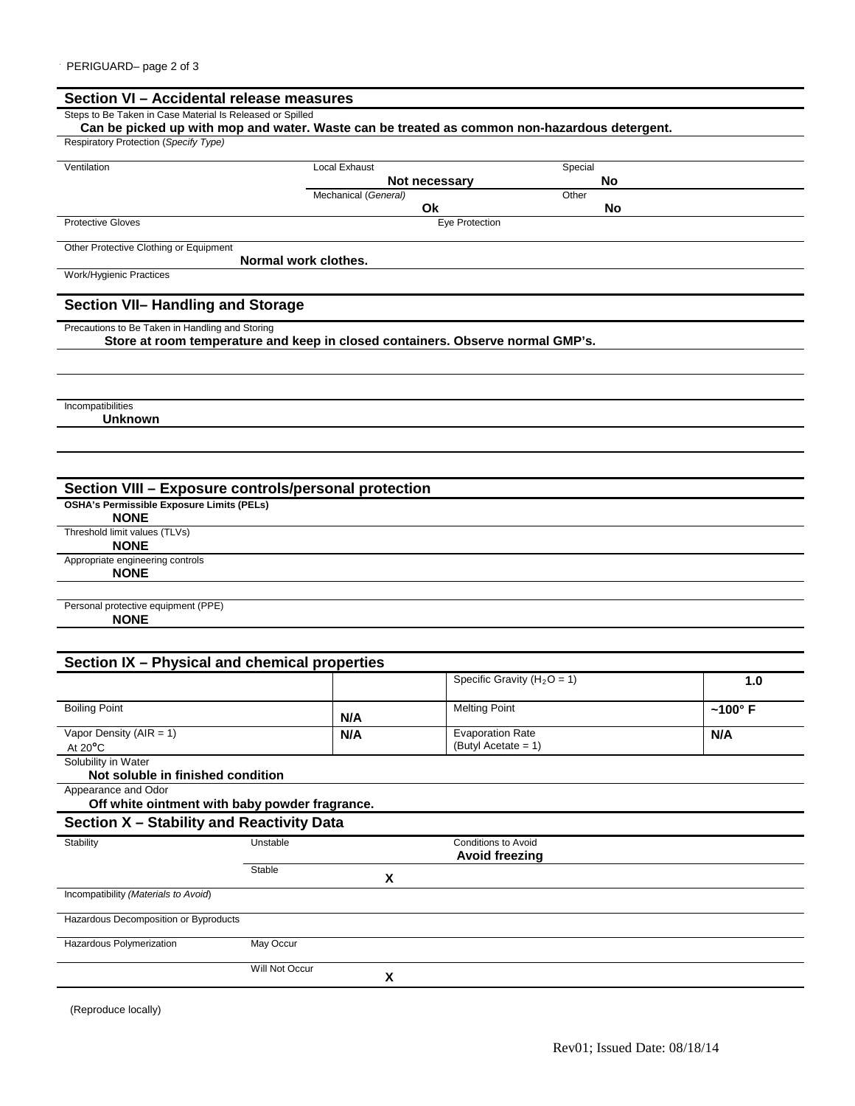| Steps to Be Taken in Case Material Is Released or Spilled |                                                                                              |                    |  |
|-----------------------------------------------------------|----------------------------------------------------------------------------------------------|--------------------|--|
|                                                           | Can be picked up with mop and water. Waste can be treated as common non-hazardous detergent. |                    |  |
| Respiratory Protection (Specify Type)                     |                                                                                              |                    |  |
| Ventilation                                               | <b>Local Exhaust</b>                                                                         | Special            |  |
|                                                           | Not necessary                                                                                | No                 |  |
|                                                           | Mechanical (General)<br>Ok                                                                   | Other<br><b>No</b> |  |
| <b>Protective Gloves</b>                                  | <b>Eye Protection</b>                                                                        |                    |  |
|                                                           |                                                                                              |                    |  |
| Other Protective Clothing or Equipment                    | Normal work clothes.                                                                         |                    |  |
| Work/Hygienic Practices                                   |                                                                                              |                    |  |
|                                                           |                                                                                              |                    |  |
| Section VII- Handling and Storage                         |                                                                                              |                    |  |
| Precautions to Be Taken in Handling and Storing           |                                                                                              |                    |  |
|                                                           | Store at room temperature and keep in closed containers. Observe normal GMP's.               |                    |  |
|                                                           |                                                                                              |                    |  |
|                                                           |                                                                                              |                    |  |
|                                                           |                                                                                              |                    |  |
| Incompatibilities<br><b>Unknown</b>                       |                                                                                              |                    |  |
|                                                           |                                                                                              |                    |  |
|                                                           |                                                                                              |                    |  |
|                                                           |                                                                                              |                    |  |
| Section VIII - Exposure controls/personal protection      |                                                                                              |                    |  |
| <b>OSHA's Permissible Exposure Limits (PELs)</b>          |                                                                                              |                    |  |
| <b>NONE</b>                                               |                                                                                              |                    |  |
|                                                           |                                                                                              |                    |  |
| Threshold limit values (TLVs)                             |                                                                                              |                    |  |
| <b>NONE</b>                                               |                                                                                              |                    |  |
| Appropriate engineering controls                          |                                                                                              |                    |  |
| <b>NONE</b>                                               |                                                                                              |                    |  |
| Personal protective equipment (PPE)                       |                                                                                              |                    |  |
| <b>NONE</b>                                               |                                                                                              |                    |  |

|                                                                       |                |     | Specific Gravity ( $H_2O = 1$ )                 | 1.0            |
|-----------------------------------------------------------------------|----------------|-----|-------------------------------------------------|----------------|
| <b>Boiling Point</b>                                                  |                | N/A | <b>Melting Point</b>                            | $~100^\circ$ F |
| Vapor Density ( $AIR = 1$ )<br>At $20^{\circ}$ C                      |                | N/A | <b>Evaporation Rate</b><br>$(ButyI Accate = 1)$ | N/A            |
| Solubility in Water<br>Not soluble in finished condition              |                |     |                                                 |                |
| Appearance and Odor<br>Off white ointment with baby powder fragrance. |                |     |                                                 |                |
| Section X - Stability and Reactivity Data                             |                |     |                                                 |                |
| Stability                                                             | Unstable       |     | Conditions to Avoid<br><b>Avoid freezing</b>    |                |
|                                                                       | Stable         | x   |                                                 |                |
| Incompatibility (Materials to Avoid)                                  |                |     |                                                 |                |
| Hazardous Decomposition or Byproducts                                 |                |     |                                                 |                |
| Hazardous Polymerization                                              | May Occur      |     |                                                 |                |
|                                                                       | Will Not Occur | x   |                                                 |                |

(Reproduce locally)